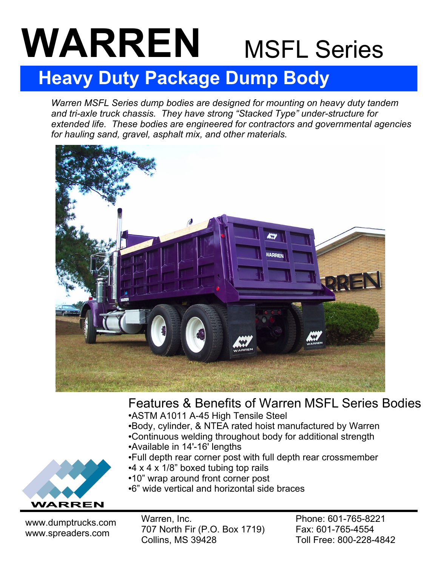# MSFL Series **WARREN**

## **Heavy Duty Package Dump Body**

*Warren MSFL Series dump bodies are designed for mounting on heavy duty tandem and tri-axle truck chassis. They have strong "Stacked Type" under-structure for extended life. These bodies are engineered for contractors and governmental agencies for hauling sand, gravel, asphalt mix, and other materials.* 



### Features & Benefits of Warren MSFL Series Bodies

- ASTM A1011 A-45 High Tensile Steel
- ●Body, cylinder, & NTEA rated hoist manufactured by Warren ●Continuous welding throughout body for additional strength
- ●Available in 14'-16' lengths
- •Full depth rear corner post with full depth rear crossmember
- $\cdot$ 4 x 4 x 1/8" boxed tubing top rails
- ●10" wrap around front corner post
- ●6" wide vertical and horizontal side braces

www.dumptrucks.com www.spreaders.com

WARREN

Warren, Inc. 707 North Fir (P.O. Box 1719) Collins, MS 39428

Phone: 601-765-8221 Fax: 601-765-4554 Toll Free: 800-228-4842